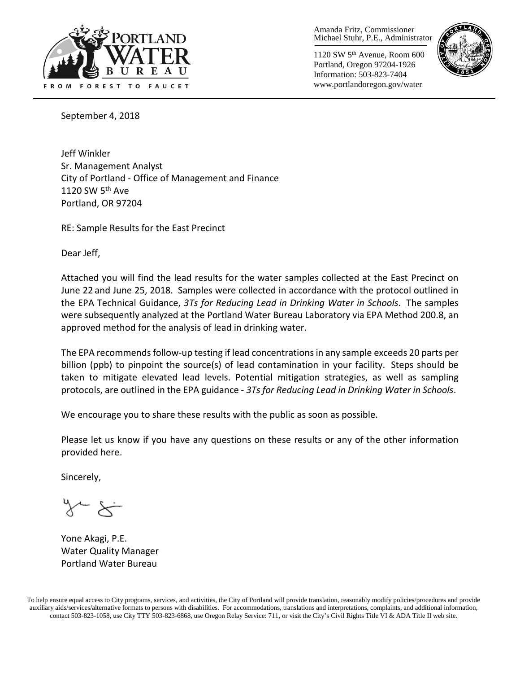

Amanda Fritz, Commissioner Michael Stuhr, P.E., Administrator

1120 SW 5th Avenue, Room 600 Portland, Oregon 97204-1926 Information: 503-823-7404 www.portlandoregon.gov/water



September 4, 2018

Jeff Winkler Sr. Management Analyst City of Portland - Office of Management and Finance 1120 SW 5<sup>th</sup> Ave Portland, OR 97204

RE: Sample Results for the East Precinct

Dear Jeff,

Attached you will find the lead results for the water samples collected at the East Precinct on June 22 and June 25, 2018. Samples were collected in accordance with the protocol outlined in the EPA Technical Guidance, *3Ts for Reducing Lead in Drinking Water in Schools*. The samples were subsequently analyzed at the Portland Water Bureau Laboratory via EPA Method 200.8, an approved method for the analysis of lead in drinking water.

The EPA recommends follow-up testing if lead concentrations in any sample exceeds 20 parts per billion (ppb) to pinpoint the source(s) of lead contamination in your facility. Steps should be taken to mitigate elevated lead levels. Potential mitigation strategies, as well as sampling protocols, are outlined in the EPA guidance - *3Ts for Reducing Lead in Drinking Water in Schools*.

We encourage you to share these results with the public as soon as possible.

Please let us know if you have any questions on these results or any of the other information provided here.

Sincerely,

Yone Akagi, P.E. Water Quality Manager Portland Water Bureau

To help ensure equal access to City programs, services, and activities, the City of Portland will provide translation, reasonably modify policies/procedures and provide auxiliary aids/services/alternative formats to persons with disabilities. For accommodations, translations and interpretations, complaints, and additional information, contact 503-823-1058, use City TTY 503-823-6868, use Oregon Relay Service: 711, or visit the City's Civil Rights [Title VI & ADA Title II web site.](http://www.portlandoregon.gov/oehr/66458)